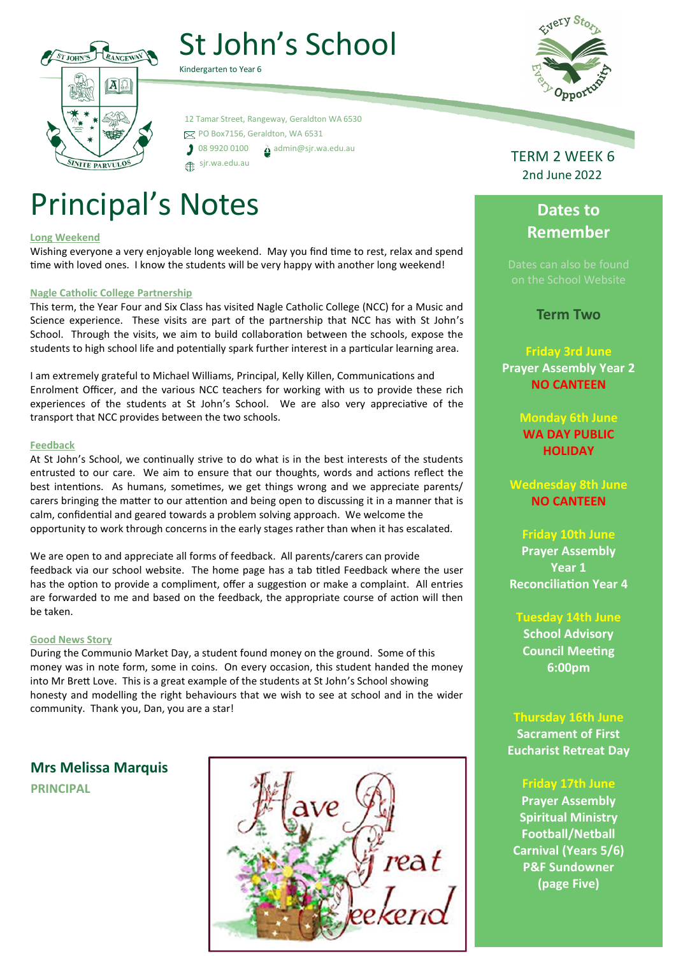# St John's School



Kindergarten to Year 6

 12 Tamar Street, Rangeway, Geraldton WA 6530 PO Box7156, Geraldton, WA 6531  $\int$  08 9920 0100  $\Delta$  [admin@sjr.wa.edu.au](mailto:admin@sjr.wa.edu.au) sjr.wa.edu.au

# Principal's Notes

#### **Long Weekend**

Wishing everyone a very enjoyable long weekend. May you find time to rest, relax and spend time with loved ones. I know the students will be very happy with another long weekend!

#### **Nagle Catholic College Partnership**

This term, the Year Four and Six Class has visited Nagle Catholic College (NCC) for a Music and Science experience. These visits are part of the partnership that NCC has with St John's School. Through the visits, we aim to build collaboration between the schools, expose the students to high school life and potentially spark further interest in a particular learning area.

I am extremely grateful to Michael Williams, Principal, Kelly Killen, Communications and Enrolment Officer, and the various NCC teachers for working with us to provide these rich experiences of the students at St John's School. We are also very appreciative of the transport that NCC provides between the two schools.

#### **Feedback**

At St John's School, we continually strive to do what is in the best interests of the students entrusted to our care. We aim to ensure that our thoughts, words and actions reflect the best intentions. As humans, sometimes, we get things wrong and we appreciate parents/ carers bringing the matter to our attention and being open to discussing it in a manner that is calm, confidential and geared towards a problem solving approach. We welcome the opportunity to work through concerns in the early stages rather than when it has escalated.

We are open to and appreciate all forms of feedback. All parents/carers can provide feedback via our school website. The home page has a tab titled Feedback where the user has the option to provide a compliment, offer a suggestion or make a complaint. All entries are forwarded to me and based on the feedback, the appropriate course of action will then be taken.

#### **Good News Story**

During the Communio Market Day, a student found money on the ground. Some of this money was in note form, some in coins. On every occasion, this student handed the money into Mr Brett Love. This is a great example of the students at St John's School showing honesty and modelling the right behaviours that we wish to see at school and in the wider community. Thank you, Dan, you are a star!

**Mrs Melissa Marquis PRINCIPAL**





TERM 2 WEEK 6 2nd June 2022

# **Dates to Remember**

**Term Two**

**Friday 3rd June Prayer Assembly Year 2 NO CANTEEN**

> **Monday 6th June WA DAY PUBLIC HOLIDAY**

**Wednesday 8th June NO CANTEEN**

### **Friday 10th June**

**Prayer Assembly Year 1 Reconciliation Year 4**

**Tuesday 14th June**

**School Advisory Council Meeting 6:00pm**

# **Thursday 16th June**

**Sacrament of First Eucharist Retreat Day**

### **Friday 17th June**

**Prayer Assembly Spiritual Ministry Football/Netball Carnival (Years 5/6) P&F Sundowner (page Five)**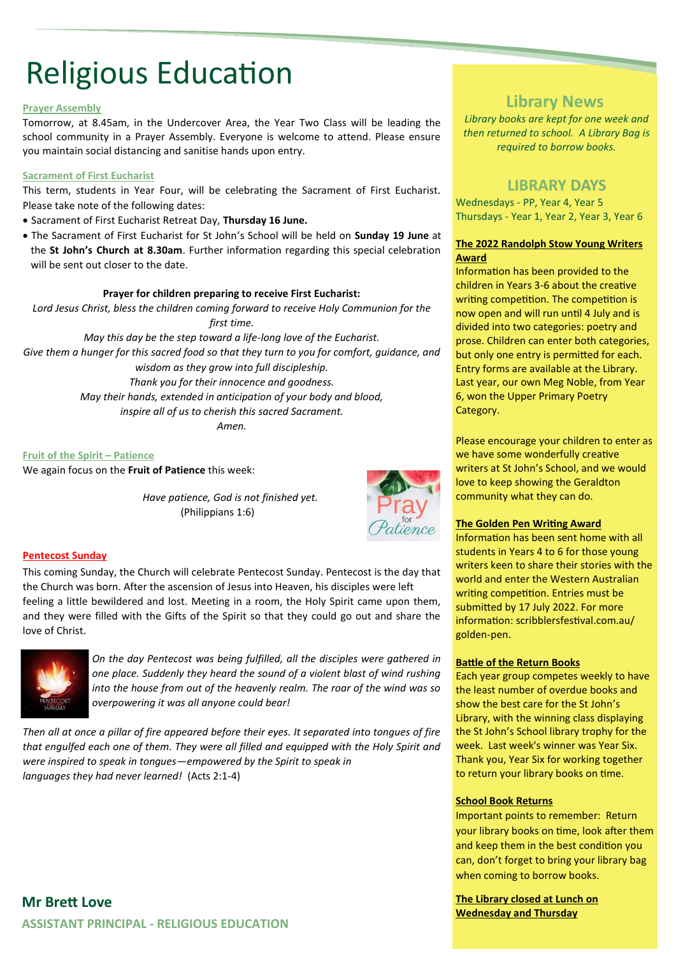# Religious Education

#### **Prayer Assembly**

Tomorrow, at 8.45am, in the Undercover Area, the Year Two Class will be leading the school community in a Prayer Assembly. Everyone is welcome to attend. Please ensure you maintain social distancing and sanitise hands upon entry.

#### **Sacrament of First Eucharist**

This term, students in Year Four, will be celebrating the Sacrament of First Eucharist. Please take note of the following dates:

- Sacrament of First Eucharist Retreat Day, **Thursday 16 June.**
- The Sacrament of First Eucharist for St John's School will be held on **Sunday 19 June** at the **St John's Church at 8.30am**. Further information regarding this special celebration will be sent out closer to the date.

#### **Prayer for children preparing to receive First Eucharist:**

*Lord Jesus Christ, bless the children coming forward to receive Holy Communion for the first time.*

*May this day be the step toward a life-long love of the Eucharist. Give them a hunger for this sacred food so that they turn to you for comfort, guidance, and wisdom as they grow into full discipleship. Thank you for their innocence and goodness.*

*May their hands, extended in anticipation of your body and blood,*

*inspire all of us to cherish this sacred Sacrament.*

*Amen.*

**Fruit of the Spirit – Patience** We again focus on the **Fruit of Patience** this week:

> *Have patience, God is not finished yet.*  (Philippians 1:6)



#### **Pentecost Sunday**

This coming Sunday, the Church will celebrate Pentecost Sunday. Pentecost is the day that the Church was born. After the ascension of Jesus into Heaven, his disciples were left feeling a little bewildered and lost. Meeting in a room, the Holy Spirit came upon them, and they were filled with the Gifts of the Spirit so that they could go out and share the love of Christ.



*On the day Pentecost was being fulfilled, all the disciples were gathered in one place. Suddenly they heard the sound of a violent blast of wind rushing into the house from out of the heavenly realm. The roar of the wind was so overpowering it was all anyone could bear!* 

*Then all at once a pillar of fire appeared before their eyes. It separated into tongues of fire that engulfed each one of them. They were all filled and equipped with the Holy Spirit and were inspired to speak in tongues—empowered by the Spirit to speak in languages they had never learned!* (Acts 2:1-4)

## **Library News**

*Library books are kept for one week and then returned to school. A Library Bag is required to borrow books.*

### **LIBRARY DAYS**

Wednesdays - PP, Year 4, Year 5 Thursdays - Year 1, Year 2, Year 3, Year 6

#### **The 2022 Randolph Stow Young Writers Award**

Information has been provided to the children in Years 3-6 about the creative writing competition. The competition is now open and will run until 4 July and is divided into two categories: poetry and prose. Children can enter both categories, but only one entry is permitted for each. Entry forms are available at the Library. Last year, our own Meg Noble, from Year 6, won the Upper Primary Poetry Category.

Please encourage your children to enter as we have some wonderfully creative writers at St John's School, and we would love to keep showing the Geraldton community what they can do.

#### **The Golden Pen Writing Award**

Information has been sent home with all students in Years 4 to 6 for those young writers keen to share their stories with the world and enter the Western Australian writing competition. Entries must be submitted by 17 July 2022. For more information: scribblersfestival.com.au/ golden-pen.

#### **Battle of the Return Books**

Each year group competes weekly to have the least number of overdue books and show the best care for the St John's Library, with the winning class displaying the St John's School library trophy for the week. Last week's winner was Year Six. Thank you, Year Six for working together to return your library books on time.

#### **School Book Returns**

Important points to remember: Return your library books on time, look after them and keep them in the best condition you can, don't forget to bring your library bag when coming to borrow books.

**The Library closed at Lunch on Wednesday and Thursday** 

## **Mr Brett Love ASSISTANT PRINCIPAL - RELIGIOUS EDUCATION**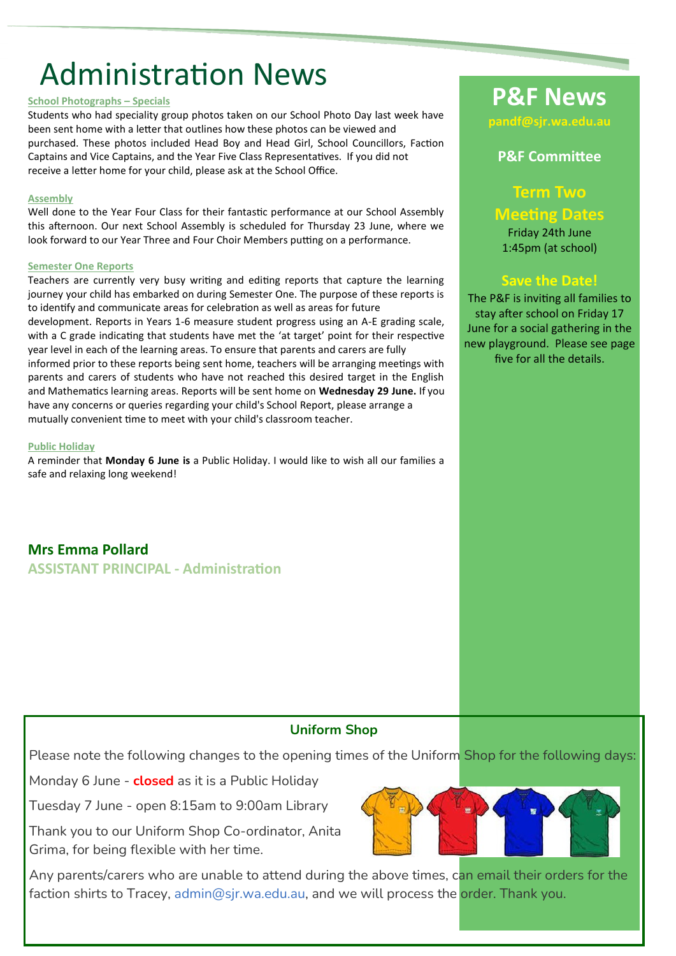# Administration News

#### **School Photographs – Specials**

Students who had speciality group photos taken on our School Photo Day last week have been sent home with a letter that outlines how these photos can be viewed and purchased. These photos included Head Boy and Head Girl, School Councillors, Faction Captains and Vice Captains, and the Year Five Class Representatives. If you did not receive a letter home for your child, please ask at the School Office.

#### **Assembly**

Well done to the Year Four Class for their fantastic performance at our School Assembly this afternoon. Our next School Assembly is scheduled for Thursday 23 June, where we look forward to our Year Three and Four Choir Members putting on a performance.

#### **Semester One Reports**

Teachers are currently very busy writing and editing reports that capture the learning journey your child has embarked on during Semester One. The purpose of these reports is to identify and communicate areas for celebration as well as areas for future development. Reports in Years 1-6 measure student progress using an A-E grading scale, with a C grade indicating that students have met the 'at target' point for their respective year level in each of the learning areas. To ensure that parents and carers are fully informed prior to these reports being sent home, teachers will be arranging meetings with parents and carers of students who have not reached this desired target in the English and Mathematics learning areas. Reports will be sent home on **Wednesday 29 June.** If you have any concerns or queries regarding your child's School Report, please arrange a mutually convenient time to meet with your child's classroom teacher.

#### **Public Holiday**

A reminder that **Monday 6 June is** a Public Holiday. I would like to wish all our families a safe and relaxing long weekend!

**Mrs Emma Pollard ASSISTANT PRINCIPAL - Administration**

# **P&F News**

**pandf@sjr.wa.edu.au** 

## **P&F Committee**

**Term Two Meeting Dates** Friday 24th June

1:45pm (at school)

## **Save the Date!**

The P&F is inviting all families to stay after school on Friday 17 June for a social gathering in the new playground. Please see page five for all the details.

### **Uniform Shop**

Please note the following changes to the opening times of the Uniform Shop for the following days:

Monday 6 June - **closed** as it is a Public Holiday

Tuesday 7 June - open 8:15am to 9:00am Library

Thank you to our Uniform Shop Co-ordinator, Anita Grima, for being flexible with her time.

Any parents/carers who are unable to attend during the above times, can email their orders for the faction shirts to Tracey, [admin@sjr.wa.edu.au,](mailto:admin@sjr.wa.edu.au) and we will process the order. Thank you.

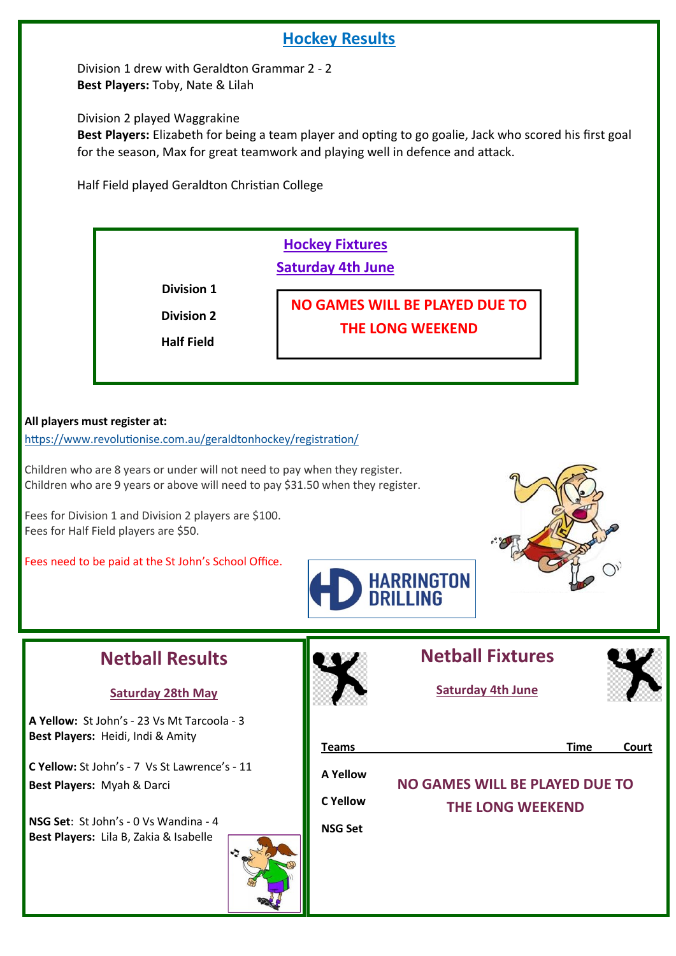## **Hockey Results**

 Division 1 drew with Geraldton Grammar 2 - 2 **Best Players:** Toby, Nate & Lilah

Division 2 played Waggrakine

 **Best Players:** Elizabeth for being a team player and opting to go goalie, Jack who scored his first goal for the season, Max for great teamwork and playing well in defence and attack.

Half Field played Geraldton Christian College

## **Hockey Fixtures Saturday 4th June**

 **Division 1** 

 **Division 2 Half Field** 

**NO GAMES WILL BE PLAYED DUE TO THE LONG WEEKEND**

### **All players must register at:**

[https://www.revolutionise.com.au/geraldtonhockey/registration/](https://aus01.safelinks.protection.outlook.com/?url=https%3A%2F%2Fwww.revolutionise.com.au%2Fgeraldtonhockey%2Fregistration%2F&data=02%7C01%7Cmw.hockey%40sportshouse.net.au%7C032fce418fff42449b0208d7bc19e10e%7Cc1ae0ae2d5044287b6f47eafd6648d22%7C0%7C1%7C637184)

Children who are 8 years or under will not need to pay when they register. Children who are 9 years or above will need to pay \$31.50 when they register.

Fees for Division 1 and Division 2 players are \$100. Fees for Half Field players are \$50.

Fees need to be paid at the St John's School Office.